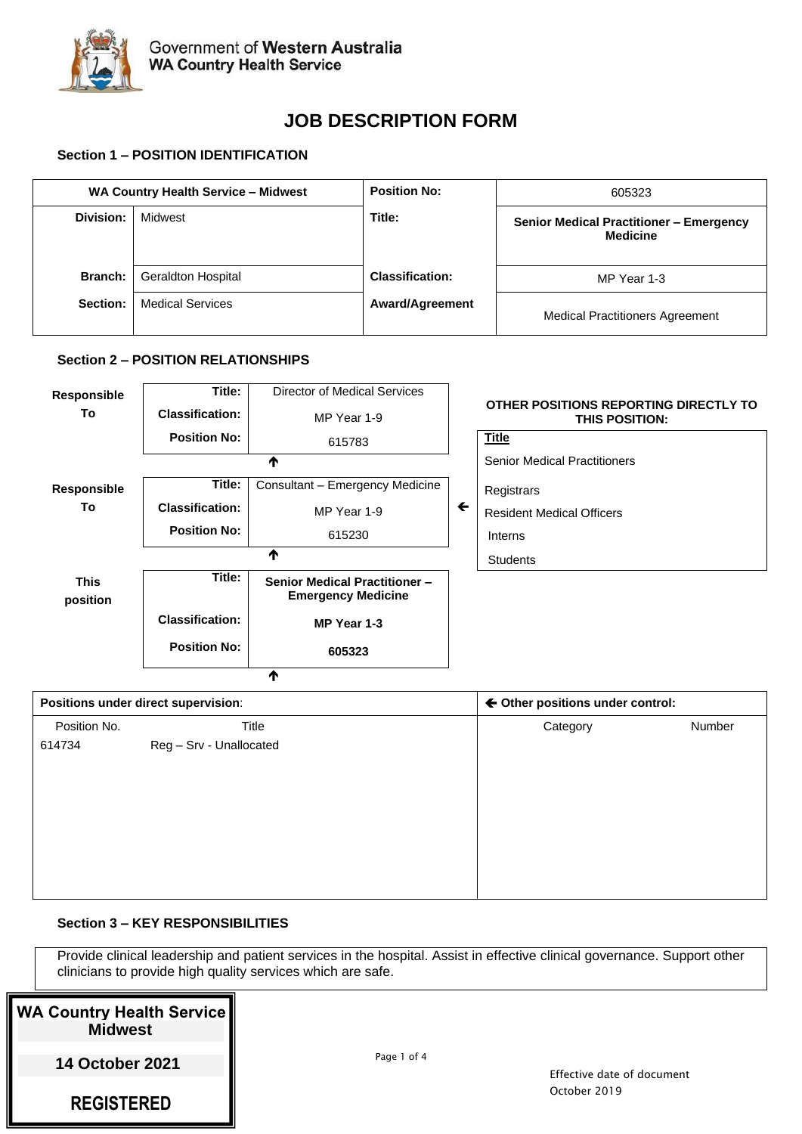

 $\overline{\blacklozenge}$ 

# **JOB DESCRIPTION FORM**

# **Section 1 – POSITION IDENTIFICATION**

|                | WA Country Health Service - Midwest | <b>Position No:</b>    | 605323                                                            |
|----------------|-------------------------------------|------------------------|-------------------------------------------------------------------|
| Division:      | Midwest                             | Title:                 | <b>Senior Medical Practitioner - Emergency</b><br><b>Medicine</b> |
| <b>Branch:</b> | <b>Geraldton Hospital</b>           | <b>Classification:</b> | MP Year 1-3                                                       |
| Section:       | <b>Medical Services</b>             | <b>Award/Agreement</b> | <b>Medical Practitioners Agreement</b>                            |

## **Section 2 – POSITION RELATIONSHIPS**

| <b>Responsible</b>      | Title:                 | Director of Medical Services                                      |              |                                                                |
|-------------------------|------------------------|-------------------------------------------------------------------|--------------|----------------------------------------------------------------|
| To                      | <b>Classification:</b> | MP Year 1-9                                                       |              | OTHER POSITIONS REPORTING DIRECTLY TO<br><b>THIS POSITION:</b> |
|                         | <b>Position No:</b>    | 615783                                                            |              | <b>Title</b>                                                   |
|                         |                        | ₼                                                                 |              | <b>Senior Medical Practitioners</b>                            |
| <b>Responsible</b>      | Title:                 | Consultant - Emergency Medicine                                   |              | Registrars                                                     |
| To                      | <b>Classification:</b> | MP Year 1-9                                                       | $\leftarrow$ | <b>Resident Medical Officers</b>                               |
|                         | <b>Position No:</b>    | 615230                                                            |              | Interns                                                        |
|                         |                        | ₼                                                                 |              | <b>Students</b>                                                |
| <b>This</b><br>position | Title:                 | <b>Senior Medical Practitioner -</b><br><b>Emergency Medicine</b> |              |                                                                |
|                         | <b>Classification:</b> | MP Year 1-3                                                       |              |                                                                |
|                         | <b>Position No:</b>    | 605323                                                            |              |                                                                |

# **Positions under direct supervision: All increases the set of the positions under control: All increases the set of the set of the set of the set of the set of the set of the set of the set of the set of the set of the** Position No. Title Category Number 614734 Reg – Srv - Unallocated

# **Section 3 – KEY RESPONSIBILITIES**

Provide clinical leadership and patient services in the hospital. Assist in effective clinical governance. Support other clinicians to provide high quality services which are safe.

| WA Country Health Service   <br><b>Midwest</b> |
|------------------------------------------------|
| <b>14 October 2021</b>                         |
| <b>REGISTERED</b>                              |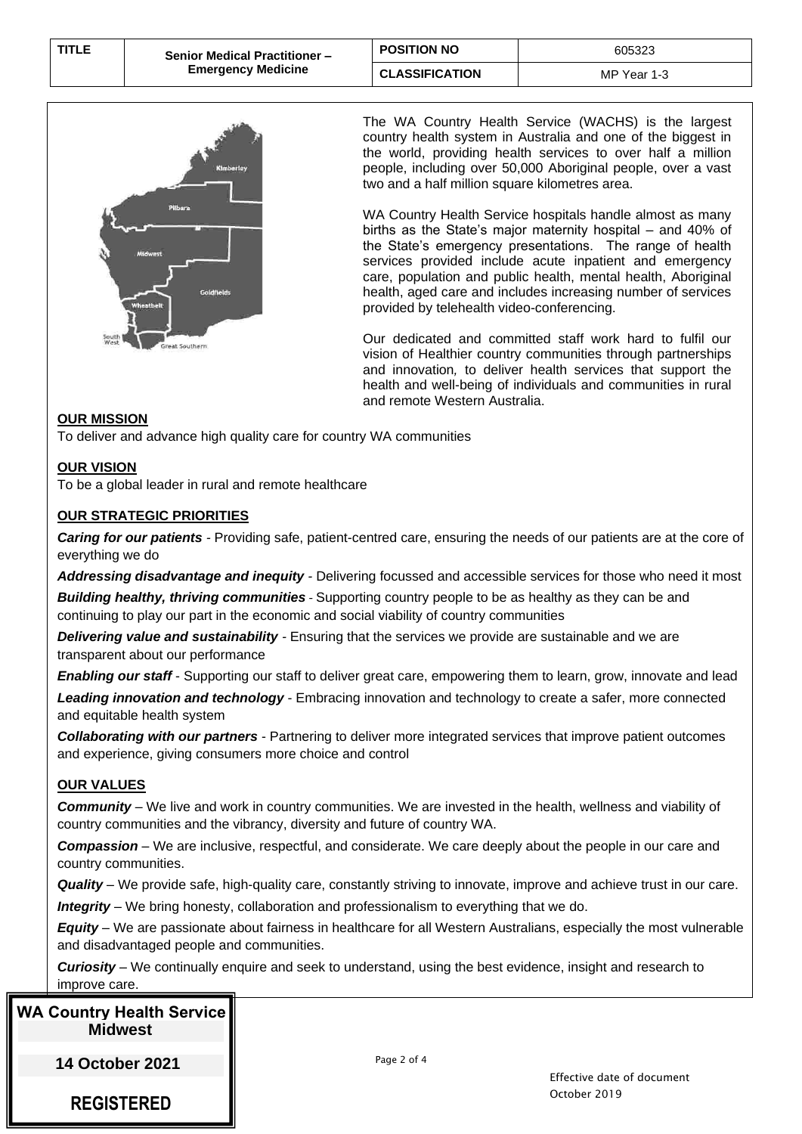| <b>TITLE</b> | <b>Senior Medical Practitioner -</b> | <b>POSITION NO</b>    | 605323      |
|--------------|--------------------------------------|-----------------------|-------------|
|              | <b>Emergency Medicine</b>            | <b>CLASSIFICATION</b> | MP Year 1-3 |



The WA Country Health Service (WACHS) is the largest country health system in Australia and one of the biggest in the world, providing health services to over half a million people, including over 50,000 Aboriginal people, over a vast two and a half million square kilometres area.

WA Country Health Service hospitals handle almost as many births as the State's major maternity hospital – and 40% of the State's emergency presentations. The range of health services provided include acute inpatient and emergency care, population and public health, mental health, Aboriginal health, aged care and includes increasing number of services provided by telehealth video-conferencing.

Our dedicated and committed staff work hard to fulfil our vision of Healthier country communities through partnerships and innovation*,* to deliver health services that support the health and well-being of individuals and communities in rural and remote Western Australia.

## **OUR MISSION**

To deliver and advance high quality care for country WA communities

## **OUR VISION**

To be a global leader in rural and remote healthcare

# **OUR STRATEGIC PRIORITIES**

*Caring for our patients -* Providing safe, patient-centred care, ensuring the needs of our patients are at the core of everything we do

*Addressing disadvantage and inequity -* Delivering focussed and accessible services for those who need it most *Building healthy, thriving communities* - Supporting country people to be as healthy as they can be and continuing to play our part in the economic and social viability of country communities

*Delivering value and sustainability -* Ensuring that the services we provide are sustainable and we are transparent about our performance

*Enabling our staff* - Supporting our staff to deliver great care, empowering them to learn, grow, innovate and lead

*Leading innovation and technology* - Embracing innovation and technology to create a safer, more connected and equitable health system

*Collaborating with our partners* - Partnering to deliver more integrated services that improve patient outcomes and experience, giving consumers more choice and control

# **OUR VALUES**

*Community* – We live and work in country communities. We are invested in the health, wellness and viability of country communities and the vibrancy, diversity and future of country WA.

*Compassion* – We are inclusive, respectful, and considerate. We care deeply about the people in our care and country communities.

*Quality* – We provide safe, high-quality care, constantly striving to innovate, improve and achieve trust in our care. *Integrity* – We bring honesty, collaboration and professionalism to everything that we do.

*Equity* – We are passionate about fairness in healthcare for all Western Australians, especially the most vulnerable and disadvantaged people and communities.

*Curiosity* – We continually enquire and seek to understand, using the best evidence, insight and research to improve care.

# **WA Country Health Service Midwest**

**14 October 2021** 

**REGISTERED**

Page 2 of 4

Effective date of document October 2019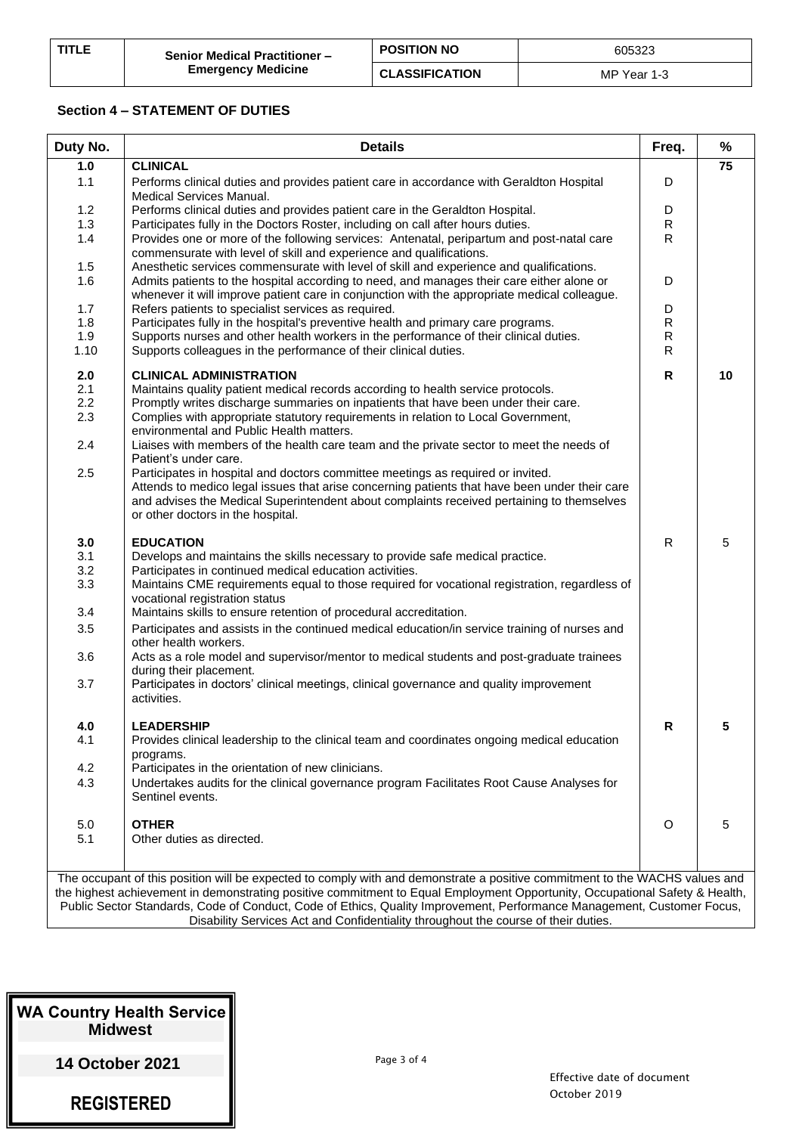| <b>TITLE</b> | <b>Senior Medical Practitioner -</b> | <b>POSITION NO</b>    | 605323      |
|--------------|--------------------------------------|-----------------------|-------------|
|              | <b>Emergency Medicine</b>            | <b>CLASSIFICATION</b> | MP Year 1-3 |

#### **Section 4 – STATEMENT OF DUTIES**

| Duty No.   | <b>Details</b>                                                                                                                                                                                                                                                                                                                              | Freq.          | %  |
|------------|---------------------------------------------------------------------------------------------------------------------------------------------------------------------------------------------------------------------------------------------------------------------------------------------------------------------------------------------|----------------|----|
| 1.0        | <b>CLINICAL</b>                                                                                                                                                                                                                                                                                                                             |                | 75 |
| 1.1        | Performs clinical duties and provides patient care in accordance with Geraldton Hospital<br><b>Medical Services Manual.</b>                                                                                                                                                                                                                 | D              |    |
| 1.2        | Performs clinical duties and provides patient care in the Geraldton Hospital.                                                                                                                                                                                                                                                               | D              |    |
| 1.3        | Participates fully in the Doctors Roster, including on call after hours duties.                                                                                                                                                                                                                                                             | $\mathsf{R}$   |    |
| 1.4        | Provides one or more of the following services: Antenatal, peripartum and post-natal care<br>commensurate with level of skill and experience and qualifications.                                                                                                                                                                            | $\mathsf{R}$   |    |
| 1.5        | Anesthetic services commensurate with level of skill and experience and qualifications.                                                                                                                                                                                                                                                     |                |    |
| 1.6        | Admits patients to the hospital according to need, and manages their care either alone or<br>whenever it will improve patient care in conjunction with the appropriate medical colleague.                                                                                                                                                   | D              |    |
| 1.7<br>1.8 | Refers patients to specialist services as required.<br>Participates fully in the hospital's preventive health and primary care programs.                                                                                                                                                                                                    | D<br>${\sf R}$ |    |
| 1.9        | Supports nurses and other health workers in the performance of their clinical duties.                                                                                                                                                                                                                                                       | $\mathsf{R}$   |    |
| 1.10       | Supports colleagues in the performance of their clinical duties.                                                                                                                                                                                                                                                                            | R              |    |
| 2.0        | <b>CLINICAL ADMINISTRATION</b>                                                                                                                                                                                                                                                                                                              | $\mathsf{R}$   | 10 |
| 2.1        | Maintains quality patient medical records according to health service protocols.                                                                                                                                                                                                                                                            |                |    |
| 2.2<br>2.3 | Promptly writes discharge summaries on inpatients that have been under their care.<br>Complies with appropriate statutory requirements in relation to Local Government,<br>environmental and Public Health matters.                                                                                                                         |                |    |
| 2.4        | Liaises with members of the health care team and the private sector to meet the needs of<br>Patient's under care.                                                                                                                                                                                                                           |                |    |
| 2.5        | Participates in hospital and doctors committee meetings as required or invited.                                                                                                                                                                                                                                                             |                |    |
|            | Attends to medico legal issues that arise concerning patients that have been under their care                                                                                                                                                                                                                                               |                |    |
|            | and advises the Medical Superintendent about complaints received pertaining to themselves<br>or other doctors in the hospital.                                                                                                                                                                                                              |                |    |
| 3.0        | <b>EDUCATION</b>                                                                                                                                                                                                                                                                                                                            | R              | 5  |
| 3.1        | Develops and maintains the skills necessary to provide safe medical practice.                                                                                                                                                                                                                                                               |                |    |
| 3.2        | Participates in continued medical education activities.                                                                                                                                                                                                                                                                                     |                |    |
| 3.3<br>3.4 | Maintains CME requirements equal to those required for vocational registration, regardless of<br>vocational registration status<br>Maintains skills to ensure retention of procedural accreditation.                                                                                                                                        |                |    |
|            |                                                                                                                                                                                                                                                                                                                                             |                |    |
| 3.5<br>3.6 | Participates and assists in the continued medical education/in service training of nurses and<br>other health workers.<br>Acts as a role model and supervisor/mentor to medical students and post-graduate trainees                                                                                                                         |                |    |
|            | during their placement.                                                                                                                                                                                                                                                                                                                     |                |    |
| 3.7        | Participates in doctors' clinical meetings, clinical governance and quality improvement<br>activities.                                                                                                                                                                                                                                      |                |    |
| 4.0        | <b>LEADERSHIP</b>                                                                                                                                                                                                                                                                                                                           | R              | 5  |
| 4.1        | Provides clinical leadership to the clinical team and coordinates ongoing medical education                                                                                                                                                                                                                                                 |                |    |
| 4.2        | programs.<br>Participates in the orientation of new clinicians.                                                                                                                                                                                                                                                                             |                |    |
| 4.3        | Undertakes audits for the clinical governance program Facilitates Root Cause Analyses for                                                                                                                                                                                                                                                   |                |    |
|            | Sentinel events.                                                                                                                                                                                                                                                                                                                            |                |    |
| 5.0        | <b>OTHER</b>                                                                                                                                                                                                                                                                                                                                | O              | 5  |
| 5.1        | Other duties as directed.                                                                                                                                                                                                                                                                                                                   |                |    |
|            | The occupant of this position will be expected to comply with and demonstrate a positive commitment to the WACHS values and                                                                                                                                                                                                                 |                |    |
|            | the highest achievement in demonstrating positive commitment to Equal Employment Opportunity, Occupational Safety & Health,<br>Public Sector Standards, Code of Conduct, Code of Ethics, Quality Improvement, Performance Management, Customer Focus,<br>Disability Services Act and Confidentiality throughout the course of their duties. |                |    |
|            |                                                                                                                                                                                                                                                                                                                                             |                |    |

| <b>WA Country Health Service</b><br><b>Midwest</b> |
|----------------------------------------------------|
| <b>14 October 2021</b>                             |

**REGISTERED**